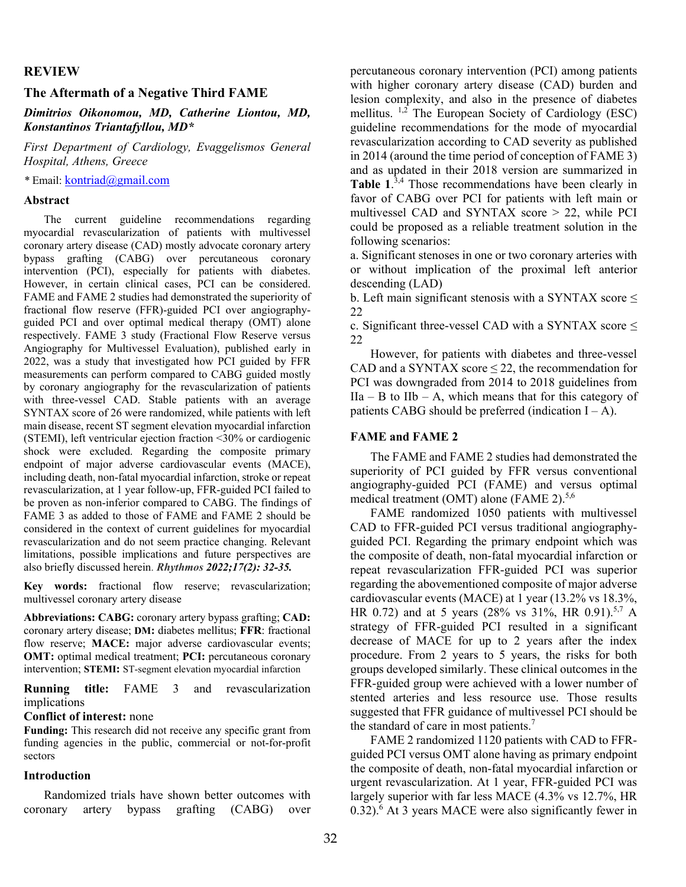### **REVIEW**

### **The Aftermath of a Negative Third FAME**

*Dimitrios Oikonomou, MD, Catherine Liontou, MD, Konstantinos Triantafyllou, MD\** 

*First Department of Cardiology, Evaggelismos General Hospital, Athens, Greece* 

*\** Email: kontriad@gmail.com

#### **Abstract**

The current guideline recommendations regarding myocardial revascularization of patients with multivessel coronary artery disease (CAD) mostly advocate coronary artery bypass grafting (CABG) over percutaneous coronary intervention (PCI), especially for patients with diabetes. However, in certain clinical cases, PCI can be considered. FAME and FAME 2 studies had demonstrated the superiority of fractional flow reserve (FFR)-guided PCI over angiographyguided PCI and over optimal medical therapy (OMT) alone respectively. FAME 3 study (Fractional Flow Reserve versus Angiography for Multivessel Evaluation), published early in 2022, was a study that investigated how PCI guided by FFR measurements can perform compared to CABG guided mostly by coronary angiography for the revascularization of patients with three-vessel CAD. Stable patients with an average SYNTAX score of 26 were randomized, while patients with left main disease, recent ST segment elevation myocardial infarction (STEMI), left ventricular ejection fraction <30% or cardiogenic shock were excluded. Regarding the composite primary endpoint of major adverse cardiovascular events (MACE), including death, non-fatal myocardial infarction, stroke or repeat revascularization, at 1 year follow-up, FFR-guided PCI failed to be proven as non-inferior compared to CABG. The findings of FAME 3 as added to those of FAME and FAME 2 should be considered in the context of current guidelines for myocardial revascularization and do not seem practice changing. Relevant limitations, possible implications and future perspectives are also briefly discussed herein. *Rhythmos 2022;17(2): 32-35.* 

**Key words:** fractional flow reserve; revascularization; multivessel coronary artery disease

**Abbreviations: CABG:** coronary artery bypass grafting; **CAD:** coronary artery disease; **DM:** diabetes mellitus; **FFR**: fractional flow reserve; **MACE:** major adverse cardiovascular events; **OMT:** optimal medical treatment; **PCI:** percutaneous coronary intervention; **STEMI:** ST-segment elevation myocardial infarction

**Running title:** FAME 3 and revascularization implications

#### **Conflict of interest:** none

**Funding:** This research did not receive any specific grant from funding agencies in the public, commercial or not-for-profit sectors

### **Introduction**

Randomized trials have shown better outcomes with coronary artery bypass grafting (CABG) over percutaneous coronary intervention (PCI) among patients with higher coronary artery disease (CAD) burden and lesion complexity, and also in the presence of diabetes mellitus.  $1,2$  The European Society of Cardiology (ESC) guideline recommendations for the mode of myocardial revascularization according to CAD severity as published in 2014 (around the time period of conception of FAME 3) and as updated in their 2018 version are summarized in Table 1.<sup>3,4</sup> Those recommendations have been clearly in favor of CABG over PCI for patients with left main or multivessel CAD and SYNTAX score > 22, while PCI could be proposed as a reliable treatment solution in the following scenarios:

a. Significant stenoses in one or two coronary arteries with or without implication of the proximal left anterior descending (LAD)

b. Left main significant stenosis with a SYNTAX score  $\leq$ 22

c. Significant three-vessel CAD with a SYNTAX score  $\leq$ 22

However, for patients with diabetes and three-vessel CAD and a SYNTAX score  $\leq$  22, the recommendation for PCI was downgraded from 2014 to 2018 guidelines from  $IIa - B$  to  $IIb - A$ , which means that for this category of patients CABG should be preferred (indication  $I - A$ ).

## **FAME and FAME 2**

The FAME and FAME 2 studies had demonstrated the superiority of PCI guided by FFR versus conventional angiography-guided PCI (FAME) and versus optimal medical treatment (OMT) alone (FAME 2). $5,6$ 

FAME randomized 1050 patients with multivessel CAD to FFR-guided PCI versus traditional angiographyguided PCI. Regarding the primary endpoint which was the composite of death, non-fatal myocardial infarction or repeat revascularization FFR-guided PCI was superior regarding the abovementioned composite of major adverse cardiovascular events (MACE) at 1 year (13.2% vs 18.3%, HR 0.72) and at 5 years (28% vs 31%, HR 0.91).<sup>5,7</sup> A strategy of FFR-guided PCI resulted in a significant decrease of MACE for up to 2 years after the index procedure. From 2 years to 5 years, the risks for both groups developed similarly. These clinical outcomes in the FFR-guided group were achieved with a lower number of stented arteries and less resource use. Those results suggested that FFR guidance of multivessel PCI should be the standard of care in most patients. $7$ 

FAME 2 randomized 1120 patients with CAD to FFRguided PCI versus OMT alone having as primary endpoint the composite of death, non-fatal myocardial infarction or urgent revascularization. At 1 year, FFR-guided PCI was largely superior with far less MACE (4.3% vs 12.7%, HR 0.32).<sup>6</sup> At 3 years MACE were also significantly fewer in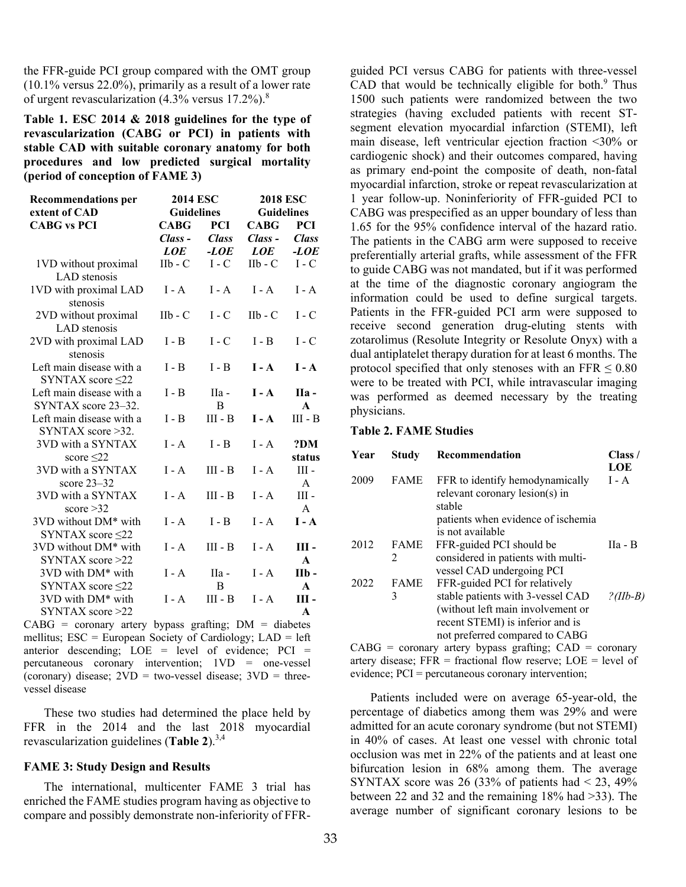the FFR-guide PCI group compared with the OMT group (10.1% versus 22.0%), primarily as a result of a lower rate of urgent revascularization  $(4.3\%$  versus  $17.2\%)$ .<sup>8</sup>

**Table 1. ESC 2014 & 2018 guidelines for the type of revascularization (CABG or PCI) in patients with stable CAD with suitable coronary anatomy for both procedures and low predicted surgical mortality (period of conception of FAME 3)**

| <b>Recommendations per</b>                         | <b>2014 ESC</b>   |              | <b>2018 ESC</b>            |              |
|----------------------------------------------------|-------------------|--------------|----------------------------|--------------|
| extent of CAD                                      | <b>Guidelines</b> |              | <b>Guidelines</b>          |              |
| <b>CABG vs PCI</b>                                 | <b>CABG</b>       | <b>PCI</b>   | <b>CABG</b>                | <b>PCI</b>   |
|                                                    | Class-            | <b>Class</b> | Class -                    | <b>Class</b> |
|                                                    | LOE               | -LOE         | LOE                        | -LOE         |
| 1VD without proximal<br>LAD stenosis               | $IIb - C$         | $I - C$      | $I_{\rm 1}I_{\rm b}$ - $C$ | $I - C$      |
| 1VD with proximal LAD<br>stenosis                  | $I - A$           | $I - A$      | $I - A$                    | $I - A$      |
| 2VD without proximal<br>LAD stenosis               | $IIb - C$         | $I - C$      | $I$ Ilb - $C$              | $I - C$      |
| 2VD with proximal LAD<br>stenosis                  | I - B             | $I - C$      | $I - B$                    | $I - C$      |
| Left main disease with a<br>SYNTAX score $\leq$ 22 | $I - B$           | $I - B$      | $I - A$                    | $I - A$      |
| Left main disease with a                           | I - B             | IIa -        | $I - A$                    | IIa -        |
| SYNTAX score 23–32.                                |                   | B            |                            | $\mathbf{A}$ |
| Left main disease with a                           | $I - B$           | $III - B$    | $I - A$                    | $III - B$    |
| SYNTAX score > 32.                                 |                   |              |                            |              |
| 3VD with a SYNTAX                                  | $I - A$           | $I - B$      | $I - A$                    | ?DM          |
| score $\leq$ 22                                    |                   |              |                            | status       |
| 3VD with a SYNTAX                                  | $I - A$           | $III - B$    | $I - A$                    | Ш -          |
| score $23-32$                                      |                   |              |                            | $\mathsf{A}$ |
| 3VD with a SYNTAX                                  | $I - A$           | $III - B$    | $I - A$                    | Ш-           |
| score $>32$                                        |                   |              |                            | $\mathbf{A}$ |
| 3VD without DM* with                               | $I - A$           | $I - B$      | $I - A$                    | $I - A$      |
| SYNTAX score $\leq$ 22                             |                   |              |                            |              |
| 3VD without DM <sup>*</sup> with                   | $I - A$           | $III - B$    | $I - A$                    | Ш-           |
| SYNTAX score >22                                   |                   |              |                            | $\mathbf{A}$ |
| 3VD with DM <sup>*</sup> with                      | $I - A$           | IIa -        | $I - A$                    | IIb -        |
| SYNTAX score $\leq$ 22                             |                   | B            |                            | $\mathbf{A}$ |
| 3VD with DM <sup>*</sup> with                      | I - A             | $III - B$    | $I - A$                    | Ш-           |
| SYNTAX score >22                                   |                   |              |                            | A            |

 $CABG = \text{coronary}$  artery bypass grafting;  $DM = \text{diabetes}$ mellitus;  $\text{ESC} = \text{European Society of Cardiology}$ ;  $\text{LAD} = \text{left}$ anterior descending;  $LOE = level of evidence$ ;  $PCI =$ percutaneous coronary intervention; 1VD = one-vessel (coronary) disease;  $2VD = two-vessel$  disease;  $3VD = three$ vessel disease

These two studies had determined the place held by FFR in the 2014 and the last 2018 myocardial revascularization guidelines (**Table 2**).3,4

### **FAME 3: Study Design and Results**

The international, multicenter FAME 3 trial has enriched the FAME studies program having as objective to compare and possibly demonstrate non-inferiority of FFR-

guided PCI versus CABG for patients with three-vessel CAD that would be technically eligible for both. $9$  Thus 1500 such patients were randomized between the two strategies (having excluded patients with recent STsegment elevation myocardial infarction (STEMI), left main disease, left ventricular ejection fraction <30% or cardiogenic shock) and their outcomes compared, having as primary end-point the composite of death, non-fatal myocardial infarction, stroke or repeat revascularization at 1 year follow-up. Noninferiority of FFR-guided PCI to CABG was prespecified as an upper boundary of less than 1.65 for the 95% confidence interval of the hazard ratio. The patients in the CABG arm were supposed to receive preferentially arterial grafts, while assessment of the FFR to guide CABG was not mandated, but if it was performed at the time of the diagnostic coronary angiogram the information could be used to define surgical targets. Patients in the FFR-guided PCI arm were supposed to receive second generation drug-eluting stents with zotarolimus (Resolute Integrity or Resolute Onyx) with a dual antiplatelet therapy duration for at least 6 months. The protocol specified that only stenoses with an FFR  $\leq 0.80$ were to be treated with PCI, while intravascular imaging was performed as deemed necessary by the treating physicians.

## **Table 2. FAME Studies**

| Year | <b>Study</b> | Recommendation                                                                                                                               | Class /<br>LOE |
|------|--------------|----------------------------------------------------------------------------------------------------------------------------------------------|----------------|
| 2009 | <b>FAME</b>  | FFR to identify hemodynamically<br>relevant coronary lesion(s) in<br>stable                                                                  | $I - A$        |
|      |              | patients when evidence of ischemia<br>is not available                                                                                       |                |
| 2012 | <b>FAME</b>  | FFR-guided PCI should be                                                                                                                     | IIa - B        |
|      | 2            | considered in patients with multi-<br>vessel CAD undergoing PCI                                                                              |                |
| 2022 | <b>FAME</b>  | FFR-guided PCI for relatively                                                                                                                |                |
|      | 3            | stable patients with 3-vessel CAD<br>(without left main involvement or<br>recent STEMI) is inferior and is<br>not preferred compared to CABG | ?(IIb-B)       |
|      |              |                                                                                                                                              |                |

CABG = coronary artery bypass grafting; CAD = coronary artery disease;  $FFR =$  fractional flow reserve;  $LOE =$  level of evidence; PCI = percutaneous coronary intervention;

Patients included were on average 65-year-old, the percentage of diabetics among them was 29% and were admitted for an acute coronary syndrome (but not STEMI) in 40% of cases. At least one vessel with chronic total occlusion was met in 22% of the patients and at least one bifurcation lesion in 68% among them. The average SYNTAX score was 26 (33% of patients had  $\leq$  23, 49% between 22 and 32 and the remaining 18% had >33). The average number of significant coronary lesions to be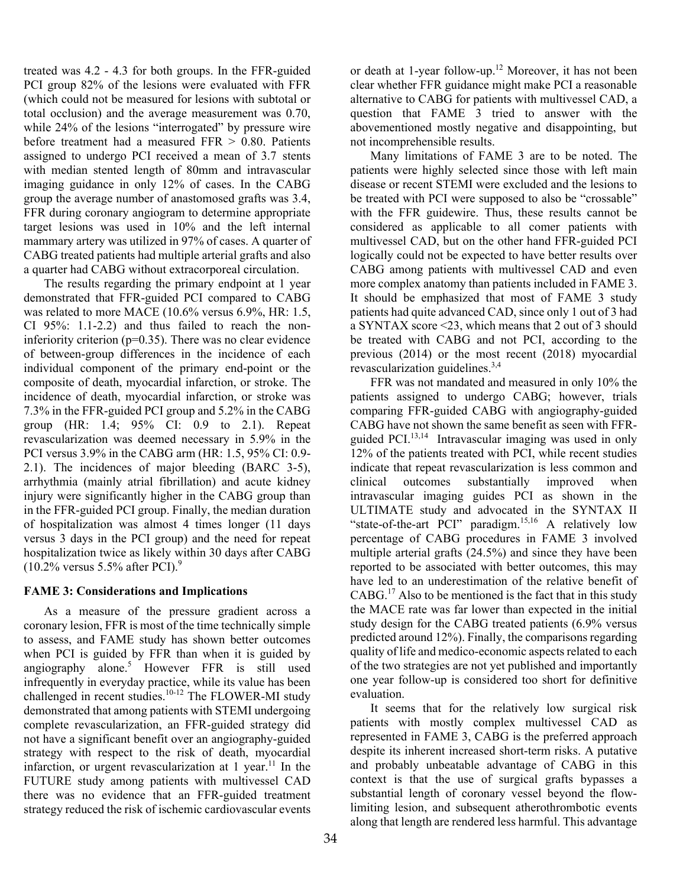treated was 4.2 - 4.3 for both groups. In the FFR-guided PCI group 82% of the lesions were evaluated with FFR (which could not be measured for lesions with subtotal or total occlusion) and the average measurement was 0.70, while 24% of the lesions "interrogated" by pressure wire before treatment had a measured  $FFR > 0.80$ . Patients assigned to undergo PCI received a mean of 3.7 stents with median stented length of 80mm and intravascular imaging guidance in only 12% of cases. In the CABG group the average number of anastomosed grafts was 3.4, FFR during coronary angiogram to determine appropriate target lesions was used in 10% and the left internal mammary artery was utilized in 97% of cases. A quarter of CABG treated patients had multiple arterial grafts and also a quarter had CABG without extracorporeal circulation.

The results regarding the primary endpoint at 1 year demonstrated that FFR-guided PCI compared to CABG was related to more MACE (10.6% versus 6.9%, HR: 1.5, CI 95%: 1.1-2.2) and thus failed to reach the noninferiority criterion ( $p=0.35$ ). There was no clear evidence of between-group differences in the incidence of each individual component of the primary end-point or the composite of death, myocardial infarction, or stroke. The incidence of death, myocardial infarction, or stroke was 7.3% in the FFR-guided PCI group and 5.2% in the CABG group (HR: 1.4; 95% CI: 0.9 to 2.1). Repeat revascularization was deemed necessary in 5.9% in the PCI versus 3.9% in the CABG arm (HR: 1.5, 95% CI: 0.9- 2.1). The incidences of major bleeding (BARC 3-5), arrhythmia (mainly atrial fibrillation) and acute kidney injury were significantly higher in the CABG group than in the FFR-guided PCI group. Finally, the median duration of hospitalization was almost 4 times longer (11 days versus 3 days in the PCI group) and the need for repeat hospitalization twice as likely within 30 days after CABG  $(10.2\%$  versus 5.5% after PCI).<sup>9</sup>

# **FAME 3: Considerations and Implications**

As a measure of the pressure gradient across a coronary lesion, FFR is most of the time technically simple to assess, and FAME study has shown better outcomes when PCI is guided by FFR than when it is guided by angiography alone.<sup>5</sup> However FFR is still used infrequently in everyday practice, while its value has been challenged in recent studies.10-12 The FLOWER-MI study demonstrated that among patients with STEMI undergoing complete revascularization, an FFR-guided strategy did not have a significant benefit over an angiography-guided strategy with respect to the risk of death, myocardial infarction, or urgent revascularization at 1 year.<sup>11</sup> In the FUTURE study among patients with multivessel CAD there was no evidence that an FFR-guided treatment strategy reduced the risk of ischemic cardiovascular events

or death at 1-year follow-up.<sup>12</sup> Moreover, it has not been clear whether FFR guidance might make PCI a reasonable alternative to CABG for patients with multivessel CAD, a question that FAME 3 tried to answer with the abovementioned mostly negative and disappointing, but not incomprehensible results.

Many limitations of FAME 3 are to be noted. The patients were highly selected since those with left main disease or recent STEMI were excluded and the lesions to be treated with PCI were supposed to also be "crossable" with the FFR guidewire. Thus, these results cannot be considered as applicable to all comer patients with multivessel CAD, but on the other hand FFR-guided PCI logically could not be expected to have better results over CABG among patients with multivessel CAD and even more complex anatomy than patients included in FAME 3. It should be emphasized that most of FAME 3 study patients had quite advanced CAD, since only 1 out of 3 had a SYNTAX score <23, which means that 2 out of 3 should be treated with CABG and not PCI, according to the previous (2014) or the most recent (2018) myocardial revascularization guidelines. $3,4$ 

FFR was not mandated and measured in only 10% the patients assigned to undergo CABG; however, trials comparing FFR-guided CABG with angiography-guided CABG have not shown the same benefit as seen with FFRguided PCI.<sup>13,14</sup> Intravascular imaging was used in only 12% of the patients treated with PCI, while recent studies indicate that repeat revascularization is less common and clinical outcomes substantially improved when intravascular imaging guides PCI as shown in the ULTIMATE study and advocated in the SYNTAX II "state-of-the-art PCI" paradigm.<sup>15,16</sup> A relatively low percentage of CABG procedures in FAME 3 involved multiple arterial grafts (24.5%) and since they have been reported to be associated with better outcomes, this may have led to an underestimation of the relative benefit of CABG.17 Also to be mentioned is the fact that in this study the MACE rate was far lower than expected in the initial study design for the CABG treated patients (6.9% versus predicted around 12%). Finally, the comparisons regarding quality of life and medico-economic aspects related to each of the two strategies are not yet published and importantly one year follow-up is considered too short for definitive evaluation.

It seems that for the relatively low surgical risk patients with mostly complex multivessel CAD as represented in FAME 3, CABG is the preferred approach despite its inherent increased short-term risks. A putative and probably unbeatable advantage of CABG in this context is that the use of surgical grafts bypasses a substantial length of coronary vessel beyond the flowlimiting lesion, and subsequent atherothrombotic events along that length are rendered less harmful. This advantage